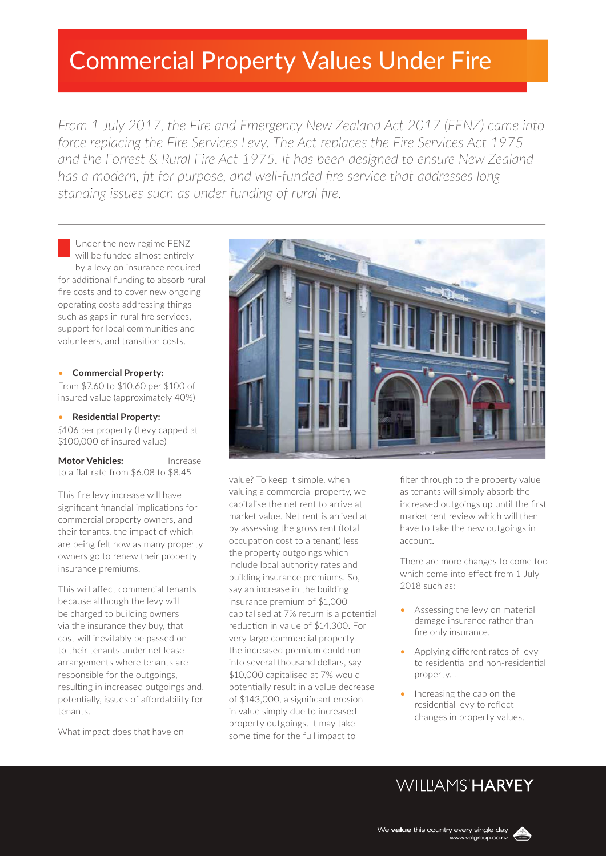# Commercial Property Values Under Fire

*From 1 July 2017, the Fire and Emergency New Zealand Act 2017 (FENZ) came into force replacing the Fire Services Levy. The Act replaces the Fire Services Act 1975 and the Forrest & Rural Fire Act 1975. It has been designed to ensure New Zealand has a modern, fit for purpose, and well-funded fire service that addresses long standing issues such as under funding of rural fire.*

Under the new regime FENZ will be funded almost entirely by a levy on insurance required for additional funding to absorb rural fire costs and to cover new ongoing operating costs addressing things such as gaps in rural fire services, support for local communities and volunteers, and transition costs.

#### • **Commercial Property:**

From \$7.60 to \$10.60 per \$100 of insured value (approximately 40%)

### • **Residential Property:**

\$106 per property (Levy capped at \$100,000 of insured value)

**Motor Vehicles:** Increase to a flat rate from \$6.08 to \$8.45

This fire levy increase will have significant financial implications for commercial property owners, and their tenants, the impact of which are being felt now as many property owners go to renew their property insurance premiums.

This will affect commercial tenants because although the levy will be charged to building owners via the insurance they buy, that cost will inevitably be passed on to their tenants under net lease arrangements where tenants are responsible for the outgoings, resulting in increased outgoings and, potentially, issues of affordability for tenants.

What impact does that have on



value? To keep it simple, when valuing a commercial property, we capitalise the net rent to arrive at market value. Net rent is arrived at by assessing the gross rent (total occupation cost to a tenant) less the property outgoings which include local authority rates and building insurance premiums. So, say an increase in the building insurance premium of \$1,000 capitalised at 7% return is a potential reduction in value of \$14,300. For very large commercial property the increased premium could run into several thousand dollars, say \$10,000 capitalised at 7% would potentially result in a value decrease of \$143,000, a significant erosion in value simply due to increased property outgoings. It may take some time for the full impact to

filter through to the property value as tenants will simply absorb the increased outgoings up until the first market rent review which will then have to take the new outgoings in account.

There are more changes to come too which come into effect from 1 July 2018 such as:

- Assessing the levy on material damage insurance rather than fire only insurance.
- Applying different rates of levy to residential and non-residential property. .
- Increasing the cap on the residential levy to reflect changes in property values.

## WIIIIAMS'HARVEY